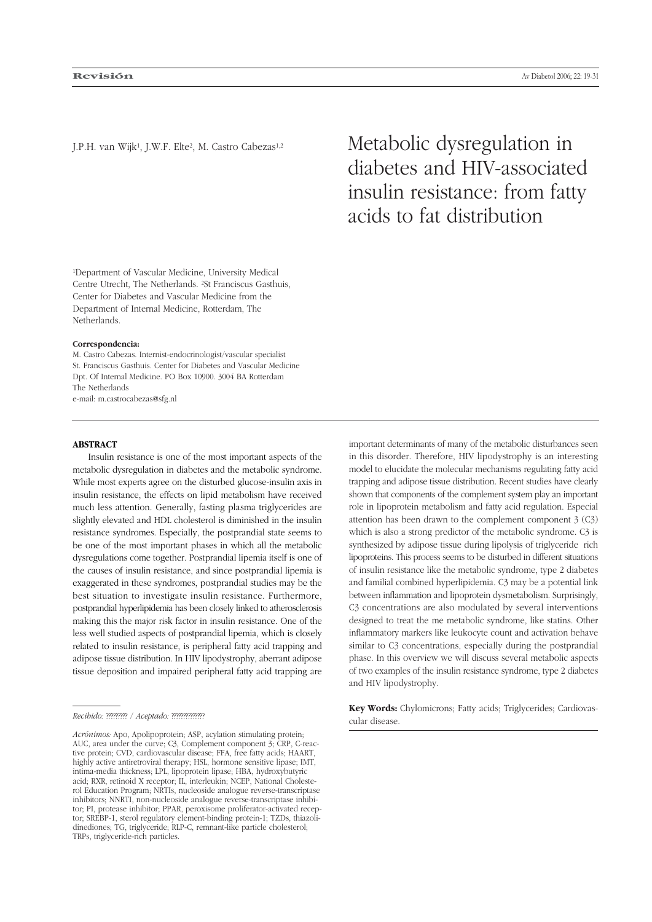J.P.H. van Wijk1, J.W.F. Elte2, M. Castro Cabezas1,2 Metabolic dysregulation in diabetes and HIV-associated insulin resistance: from fatty acids to fat distribution

1Department of Vascular Medicine, University Medical Centre Utrecht, The Netherlands. 2St Franciscus Gasthuis, Center for Diabetes and Vascular Medicine from the Department of Internal Medicine, Rotterdam, The Netherlands.

#### **Correspondencia:**

M. Castro Cabezas. Internist-endocrinologist/vascular specialist St. Franciscus Gasthuis. Center for Diabetes and Vascular Medicine Dpt. Of Internal Medicine. PO Box 10900. 3004 BA Rotterdam The Netherlands e-mail: m.castrocabezas@sfg.nl

### **ABSTRACT**

Insulin resistance is one of the most important aspects of the metabolic dysregulation in diabetes and the metabolic syndrome. While most experts agree on the disturbed glucose-insulin axis in insulin resistance, the effects on lipid metabolism have received much less attention. Generally, fasting plasma triglycerides are slightly elevated and HDL cholesterol is diminished in the insulin resistance syndromes. Especially, the postprandial state seems to be one of the most important phases in which all the metabolic dysregulations come together. Postprandial lipemia itself is one of the causes of insulin resistance, and since postprandial lipemia is exaggerated in these syndromes, postprandial studies may be the best situation to investigate insulin resistance. Furthermore, postprandial hyperlipidemia has been closely linked to atherosclerosis making this the major risk factor in insulin resistance. One of the less well studied aspects of postprandial lipemia, which is closely related to insulin resistance, is peripheral fatty acid trapping and adipose tissue distribution. In HIV lipodystrophy, aberrant adipose tissue deposition and impaired peripheral fatty acid trapping are

important determinants of many of the metabolic disturbances seen in this disorder. Therefore, HIV lipodystrophy is an interesting model to elucidate the molecular mechanisms regulating fatty acid trapping and adipose tissue distribution. Recent studies have clearly shown that components of the complement system play an important role in lipoprotein metabolism and fatty acid regulation. Especial attention has been drawn to the complement component 3 (C3) which is also a strong predictor of the metabolic syndrome. C3 is synthesized by adipose tissue during lipolysis of triglyceride rich lipoproteins. This process seems to be disturbed in different situations of insulin resistance like the metabolic syndrome, type 2 diabetes and familial combined hyperlipidemia. C3 may be a potential link between inflammation and lipoprotein dysmetabolism. Surprisingly, C3 concentrations are also modulated by several interventions designed to treat the me metabolic syndrome, like statins. Other inflammatory markers like leukocyte count and activation behave similar to C3 concentrations, especially during the postprandial phase. In this overview we will discuss several metabolic aspects of two examples of the insulin resistance syndrome, type 2 diabetes and HIV lipodystrophy.

**Key Words:** Chylomicrons; Fatty acids; Triglycerides; Cardiovascular disease.

*Recibido:* ????????? / *Aceptado:* ??????????????

*Acrónimos:* Apo, Apolipoprotein; ASP, acylation stimulating protein; AUC, area under the curve; C3, Complement component 3; CRP, C-reactive protein; CVD, cardiovascular disease; FFA, free fatty acids; HAART, highly active antiretroviral therapy; HSL, hormone sensitive lipase; IMT, intima-media thickness; LPL, lipoprotein lipase; HBA, hydroxybutyric acid; RXR, retinoid X receptor; IL, interleukin; NCEP, National Cholesterol Education Program; NRTIs, nucleoside analogue reverse-transcriptase inhibitors; NNRTI, non-nucleoside analogue reverse-transcriptase inhibitor; PI, protease inhibitor; PPAR, peroxisome proliferator-activated receptor; SREBP-1, sterol regulatory element-binding protein-1; TZDs, thiazolidinediones; TG, triglyceride; RLP-C, remnant-like particle cholesterol; TRPs, triglyceride-rich particles.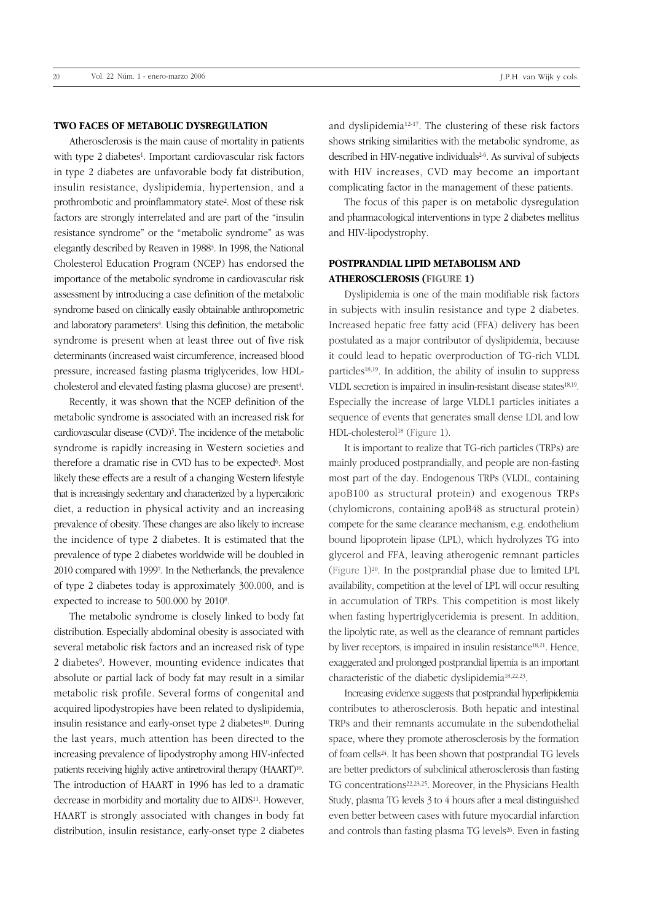### **TWO FACES OF METABOLIC DYSREGULATION**

Atherosclerosis is the main cause of mortality in patients with type 2 diabetes<sup>1</sup>. Important cardiovascular risk factors in type 2 diabetes are unfavorable body fat distribution, insulin resistance, dyslipidemia, hypertension, and a prothrombotic and proinflammatory state2. Most of these risk factors are strongly interrelated and are part of the "insulin resistance syndrome" or the "metabolic syndrome" as was elegantly described by Reaven in 19883. In 1998, the National Cholesterol Education Program (NCEP) has endorsed the importance of the metabolic syndrome in cardiovascular risk assessment by introducing a case definition of the metabolic syndrome based on clinically easily obtainable anthropometric and laboratory parameters<sup>4</sup>. Using this definition, the metabolic syndrome is present when at least three out of five risk determinants (increased waist circumference, increased blood pressure, increased fasting plasma triglycerides, low HDLcholesterol and elevated fasting plasma glucose) are present4.

Recently, it was shown that the NCEP definition of the metabolic syndrome is associated with an increased risk for cardiovascular disease (CVD)5. The incidence of the metabolic syndrome is rapidly increasing in Western societies and therefore a dramatic rise in CVD has to be expected<sup>6</sup>. Most likely these effects are a result of a changing Western lifestyle that is increasingly sedentary and characterized by a hypercaloric diet, a reduction in physical activity and an increasing prevalence of obesity. These changes are also likely to increase the incidence of type 2 diabetes. It is estimated that the prevalence of type 2 diabetes worldwide will be doubled in 2010 compared with 19997. In the Netherlands, the prevalence of type 2 diabetes today is approximately 300.000, and is expected to increase to 500.000 by 20108.

The metabolic syndrome is closely linked to body fat distribution. Especially abdominal obesity is associated with several metabolic risk factors and an increased risk of type 2 diabetes9. However, mounting evidence indicates that absolute or partial lack of body fat may result in a similar metabolic risk profile. Several forms of congenital and acquired lipodystropies have been related to dyslipidemia, insulin resistance and early-onset type 2 diabetes<sup>10</sup>. During the last years, much attention has been directed to the increasing prevalence of lipodystrophy among HIV-infected patients receiving highly active antiretroviral therapy (HAART)10. The introduction of HAART in 1996 has led to a dramatic decrease in morbidity and mortality due to AIDS11. However, HAART is strongly associated with changes in body fat distribution, insulin resistance, early-onset type 2 diabetes and dyslipidemia12-17. The clustering of these risk factors shows striking similarities with the metabolic syndrome, as described in HIV-negative individuals<sup>26</sup>. As survival of subjects with HIV increases, CVD may become an important complicating factor in the management of these patients.

The focus of this paper is on metabolic dysregulation and pharmacological interventions in type 2 diabetes mellitus and HIV-lipodystrophy.

## **POSTPRANDIAL LIPID METABOLISM AND ATHEROSCLEROSIS (FIGURE 1)**

Dyslipidemia is one of the main modifiable risk factors in subjects with insulin resistance and type 2 diabetes. Increased hepatic free fatty acid (FFA) delivery has been postulated as a major contributor of dyslipidemia, because it could lead to hepatic overproduction of TG-rich VLDL particles18,19. In addition, the ability of insulin to suppress VLDL secretion is impaired in insulin-resistant disease states18,19. Especially the increase of large VLDL1 particles initiates a sequence of events that generates small dense LDL and low HDL-cholesterol<sup>18</sup> (Figure 1).

It is important to realize that TG-rich particles (TRPs) are mainly produced postprandially, and people are non-fasting most part of the day. Endogenous TRPs (VLDL, containing apoB100 as structural protein) and exogenous TRPs (chylomicrons, containing apoB48 as structural protein) compete for the same clearance mechanism, e.g. endothelium bound lipoprotein lipase (LPL), which hydrolyzes TG into glycerol and FFA, leaving atherogenic remnant particles (Figure 1)20. In the postprandial phase due to limited LPL availability, competition at the level of LPL will occur resulting in accumulation of TRPs. This competition is most likely when fasting hypertriglyceridemia is present. In addition, the lipolytic rate, as well as the clearance of remnant particles by liver receptors, is impaired in insulin resistance<sup>18,21</sup>. Hence, exaggerated and prolonged postprandial lipemia is an important characteristic of the diabetic dyslipidemia18,22,23.

Increasing evidence suggests that postprandial hyperlipidemia contributes to atherosclerosis. Both hepatic and intestinal TRPs and their remnants accumulate in the subendothelial space, where they promote atherosclerosis by the formation of foam cells24. It has been shown that postprandial TG levels are better predictors of subclinical atherosclerosis than fasting TG concentrations22,23,25. Moreover, in the Physicians Health Study, plasma TG levels 3 to 4 hours after a meal distinguished even better between cases with future myocardial infarction and controls than fasting plasma TG levels<sup>26</sup>. Even in fasting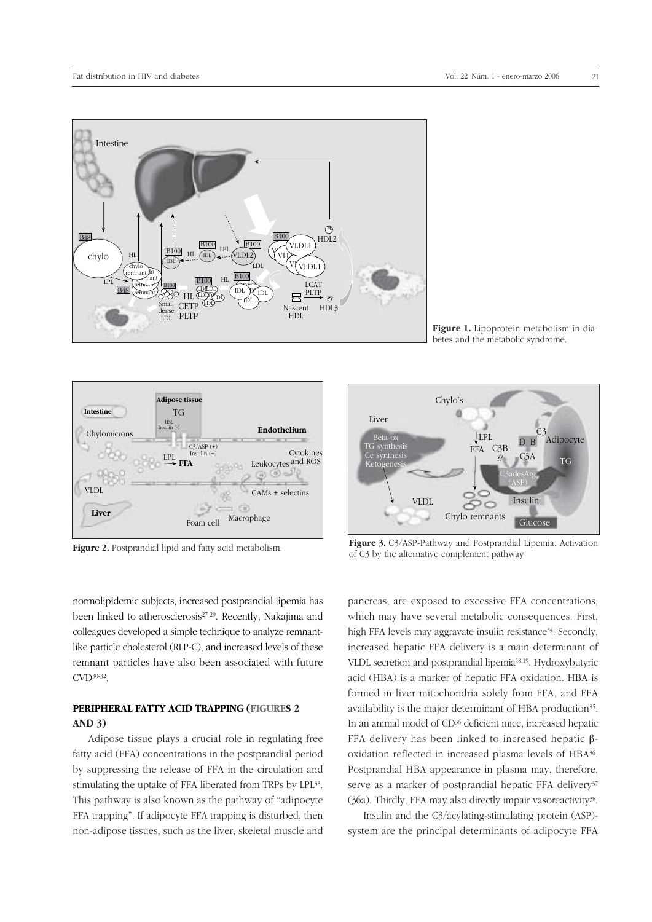

Figure 1. Lipoprotein metabolism in diabetes and the metabolic syndrome.



Figure 2. Postprandial lipid and fatty acid metabolism.

normolipidemic subjects, increased postprandial lipemia has been linked to atherosclerosis27-29. Recently, Nakajima and colleagues developed a simple technique to analyze remnantlike particle cholesterol (RLP-C), and increased levels of these remnant particles have also been associated with future CVD30-32.

## **PERIPHERAL FATTY ACID TRAPPING (FIGURES 2 AND 3)**

Adipose tissue plays a crucial role in regulating free fatty acid (FFA) concentrations in the postprandial period by suppressing the release of FFA in the circulation and stimulating the uptake of FFA liberated from TRPs by LPL33. This pathway is also known as the pathway of "adipocyte FFA trapping". If adipocyte FFA trapping is disturbed, then non-adipose tissues, such as the liver, skeletal muscle and



Figure 3. C<sub>3</sub>/ASP-Pathway and Postprandial Lipemia. Activation of C3 by the alternative complement pathway

pancreas, are exposed to excessive FFA concentrations, which may have several metabolic consequences. First, high FFA levels may aggravate insulin resistance<sup>34</sup>. Secondly, increased hepatic FFA delivery is a main determinant of VLDL secretion and postprandial lipemia18,19. Hydroxybutyric acid (HBA) is a marker of hepatic FFA oxidation. HBA is formed in liver mitochondria solely from FFA, and FFA availability is the major determinant of HBA production<sup>35</sup>. In an animal model of CD36 deficient mice, increased hepatic FFA delivery has been linked to increased hepatic βoxidation reflected in increased plasma levels of HBA36. Postprandial HBA appearance in plasma may, therefore, serve as a marker of postprandial hepatic FFA delivery<sup>37</sup> (36a). Thirdly, FFA may also directly impair vasoreactivity38.

Insulin and the C3/acylating-stimulating protein (ASP) system are the principal determinants of adipocyte FFA

21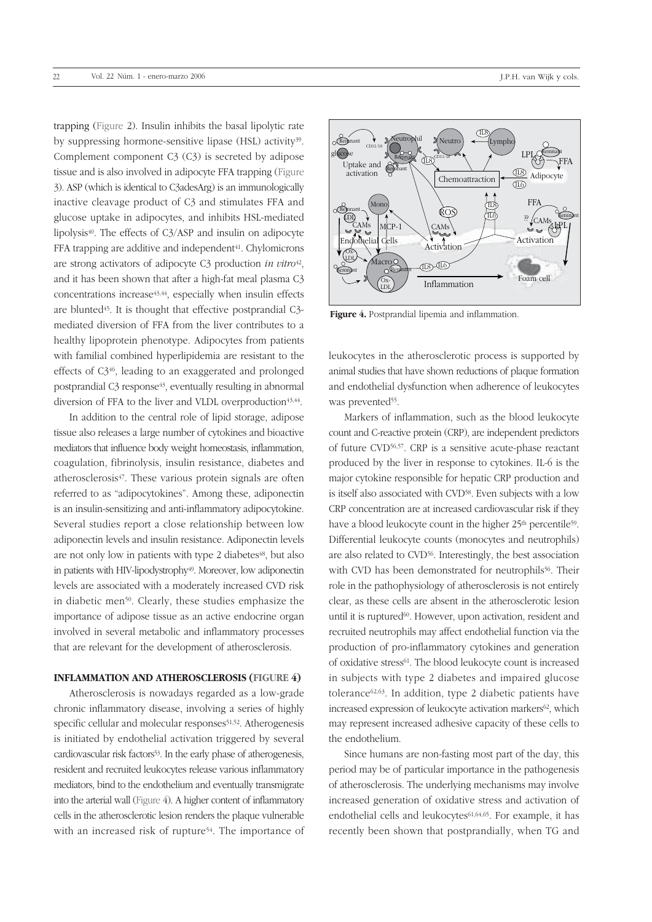trapping (Figure 2). Insulin inhibits the basal lipolytic rate by suppressing hormone-sensitive lipase (HSL) activity39. Complement component C3 (C3) is secreted by adipose tissue and is also involved in adipocyte FFA trapping (Figure 3). ASP (which is identical to C3adesArg) is an immunologically inactive cleavage product of C3 and stimulates FFA and glucose uptake in adipocytes, and inhibits HSL-mediated lipolysis $40$ . The effects of C3/ASP and insulin on adipocyte FFA trapping are additive and independent<sup>41</sup>. Chylomicrons are strong activators of adipocyte C3 production *in vitro*42, and it has been shown that after a high-fat meal plasma C3 concentrations increase<sup>43,44</sup>, especially when insulin effects are blunted<sup>45</sup>. It is thought that effective postprandial C3mediated diversion of FFA from the liver contributes to a healthy lipoprotein phenotype. Adipocytes from patients with familial combined hyperlipidemia are resistant to the effects of C346, leading to an exaggerated and prolonged postprandial C3 response<sup>43</sup>, eventually resulting in abnormal diversion of FFA to the liver and VLDL overproduction $43,44$ .

In addition to the central role of lipid storage, adipose tissue also releases a large number of cytokines and bioactive mediators that influence body weight homeostasis, inflammation, coagulation, fibrinolysis, insulin resistance, diabetes and atherosclerosis<sup>47</sup>. These various protein signals are often referred to as "adipocytokines". Among these, adiponectin is an insulin-sensitizing and anti-inflammatory adipocytokine. Several studies report a close relationship between low adiponectin levels and insulin resistance. Adiponectin levels are not only low in patients with type 2 diabetes<sup>48</sup>, but also in patients with HIV-lipodystrophy<sup>49</sup>. Moreover, low adiponectin levels are associated with a moderately increased CVD risk in diabetic men<sup>50</sup>. Clearly, these studies emphasize the importance of adipose tissue as an active endocrine organ involved in several metabolic and inflammatory processes that are relevant for the development of atherosclerosis.

### **INFLAMMATION AND ATHEROSCLEROSIS (FIGURE 4)**

Atherosclerosis is nowadays regarded as a low-grade chronic inflammatory disease, involving a series of highly specific cellular and molecular responses<sup>51,52</sup>. Atherogenesis is initiated by endothelial activation triggered by several cardiovascular risk factors<sup>53</sup>. In the early phase of atherogenesis, resident and recruited leukocytes release various inflammatory mediators, bind to the endothelium and eventually transmigrate into the arterial wall (Figure 4). A higher content of inflammatory cells in the atherosclerotic lesion renders the plaque vulnerable with an increased risk of rupture<sup>54</sup>. The importance of



**Figure 4.** Postprandial lipemia and inflammation.

leukocytes in the atherosclerotic process is supported by animal studies that have shown reductions of plaque formation and endothelial dysfunction when adherence of leukocytes was prevented<sup>55</sup>.

Markers of inflammation, such as the blood leukocyte count and C-reactive protein (CRP), are independent predictors of future CVD56,57. CRP is a sensitive acute-phase reactant produced by the liver in response to cytokines. IL-6 is the major cytokine responsible for hepatic CRP production and is itself also associated with CVD<sup>58</sup>. Even subjects with a low CRP concentration are at increased cardiovascular risk if they have a blood leukocyte count in the higher 25<sup>th</sup> percentile<sup>59</sup>. Differential leukocyte counts (monocytes and neutrophils) are also related to CVD56. Interestingly, the best association with CVD has been demonstrated for neutrophils<sup>56</sup>. Their role in the pathophysiology of atherosclerosis is not entirely clear, as these cells are absent in the atherosclerotic lesion until it is ruptured<sup>60</sup>. However, upon activation, resident and recruited neutrophils may affect endothelial function via the production of pro-inflammatory cytokines and generation of oxidative stress<sup>61</sup>. The blood leukocyte count is increased in subjects with type 2 diabetes and impaired glucose tolerance $62,63$ . In addition, type 2 diabetic patients have increased expression of leukocyte activation markers<sup>62</sup>, which may represent increased adhesive capacity of these cells to the endothelium.

Since humans are non-fasting most part of the day, this period may be of particular importance in the pathogenesis of atherosclerosis. The underlying mechanisms may involve increased generation of oxidative stress and activation of endothelial cells and leukocytes<sup>61,64,65</sup>. For example, it has recently been shown that postprandially, when TG and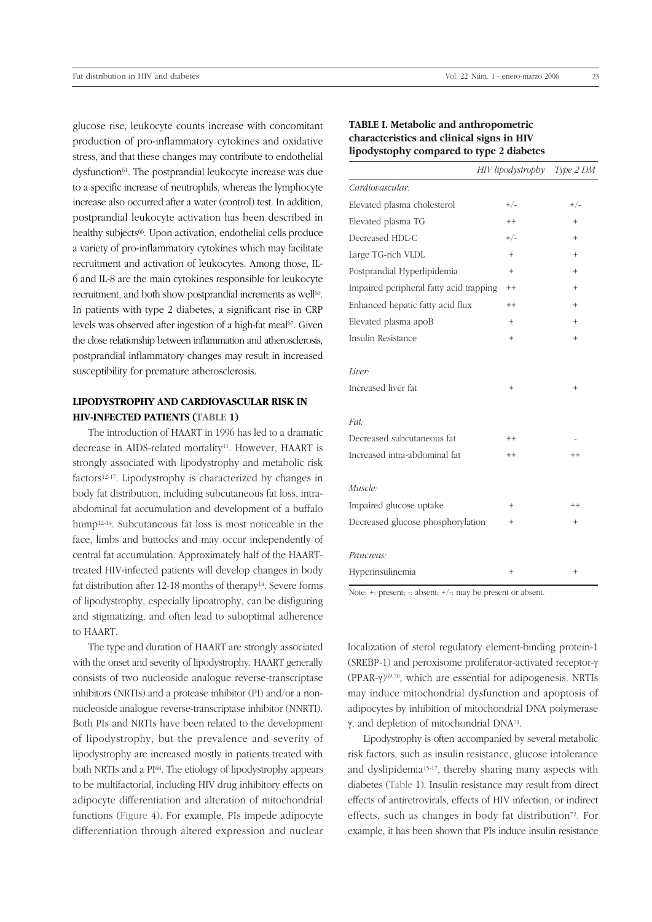glucose rise, leukocyte counts increase with concomitant production of pro-inflammatory cytokines and oxidative stress, and that these changes may contribute to endothelial dysfunction<sup>61</sup>. The postprandial leukocyte increase was due to a specific increase of neutrophils, whereas the lymphocyte increase also occurred after a water (control) test. In addition, postprandial leukocyte activation has been described in healthy subjects<sup>66</sup>. Upon activation, endothelial cells produce a variety of pro-inflammatory cytokines which may facilitate recruitment and activation of leukocytes. Among those, IL-6 and IL-8 are the main cytokines responsible for leukocyte recruitment, and both show postprandial increments as well<sup>60</sup>. In patients with type 2 diabetes, a significant rise in CRP levels was observed after ingestion of a high-fat meal<sup>67</sup>. Given the close relationship between inflammation and atherosclerosis, postprandial inflammatory changes may result in increased susceptibility for premature atherosclerosis.

## **LIPODYSTROPHY AND CARDIOVASCULAR RISK IN HIV-INFECTED PATIENTS (TABLE 1)**

The introduction of HAART in 1996 has led to a dramatic decrease in AIDS-related mortality<sup>11</sup>. However, HAART is strongly associated with lipodystrophy and metabolic risk factors12-17. Lipodystrophy is characterized by changes in body fat distribution, including subcutaneous fat loss, intraabdominal fat accumulation and development of a buffalo hump12-14. Subcutaneous fat loss is most noticeable in the face, limbs and buttocks and may occur independently of central fat accumulation. Approximately half of the HAARTtreated HIV-infected patients will develop changes in body fat distribution after 12-18 months of therapy<sup>14</sup>. Severe forms of lipodystrophy, especially lipoatrophy, can be disfiguring and stigmatizing, and often lead to suboptimal adherence to HAART.

The type and duration of HAART are strongly associated with the onset and severity of lipodystrophy. HAART generally consists of two nucleoside analogue reverse-transcriptase inhibitors (NRTIs) and a protease inhibitor (PI) and/or a nonnucleoside analogue reverse-transcriptase inhibitor (NNRTI). Both PIs and NRTIs have been related to the development of lipodystrophy, but the prevalence and severity of lipodystrophy are increased mostly in patients treated with both NRTIs and a PI68. The etiology of lipodystrophy appears to be multifactorial, including HIV drug inhibitory effects on adipocyte differentiation and alteration of mitochondrial functions (Figure 4). For example, PIs impede adipocyte differentiation through altered expression and nuclear

### **TABLE I. Metabolic and anthropometric characteristics and clinical signs in HIV lipodystophy compared to type 2 diabetes**

|                                         | HIV lipodystrophy Type 2 DM |                   |
|-----------------------------------------|-----------------------------|-------------------|
| Cardiovascular:                         |                             |                   |
| Elevated plasma cholesterol             | $+/-$                       | $+/-$             |
| Elevated plasma TG                      | $++$                        | $\ddot{}$         |
| Decreased HDL-C                         | $+/-$                       | $+$               |
| Large TG-rich VLDL                      | $^{+}$                      | $\qquad \qquad +$ |
| Postprandial Hyperlipidemia             | $+$                         | $^{+}$            |
| Impaired peripheral fatty acid trapping | $++$                        | $^{+}$            |
| Enhanced hepatic fatty acid flux        | $^{++}$                     | $^{+}$            |
| Elevated plasma apoB                    | $^{+}$                      | $^{+}$            |
| Insulin Resistance                      | $^{+}$                      | $^{+}$            |
| Liver:<br>Increased liver fat           | $\hbox{+}$                  | $^+$              |
| Fat:                                    |                             |                   |
| Decreased subcutaneous fat              | $++$                        |                   |
| Increased intra-abdominal fat           | $^{++}$                     | $^{++}$           |
| Muscle:                                 |                             |                   |
| Impaired glucose uptake                 | $+$                         | $++$              |
| Decreased glucose phosphorylation       | $^{+}$                      | $\qquad \qquad +$ |
| Pancreas:                               |                             |                   |
| Hyperinsulinemia                        | $^{+}$                      | $^{+}$            |

Note: +: present; -: absent; +/-: may be present or absent.

localization of sterol regulatory element-binding protein-1 (SREBP-1) and peroxisome proliferator-activated receptor-γ (PPAR-γ)69,70, which are essential for adipogenesis. NRTIs may induce mitochondrial dysfunction and apoptosis of adipocytes by inhibition of mitochondrial DNA polymerase γ, and depletion of mitochondrial DNA71.

Lipodystrophy is often accompanied by several metabolic risk factors, such as insulin resistance, glucose intolerance and dyslipidemia15-17, thereby sharing many aspects with diabetes (Table 1). Insulin resistance may result from direct effects of antiretrovirals, effects of HIV infection, or indirect effects, such as changes in body fat distribution<sup>72</sup>. For example, it has been shown that PIs induce insulin resistance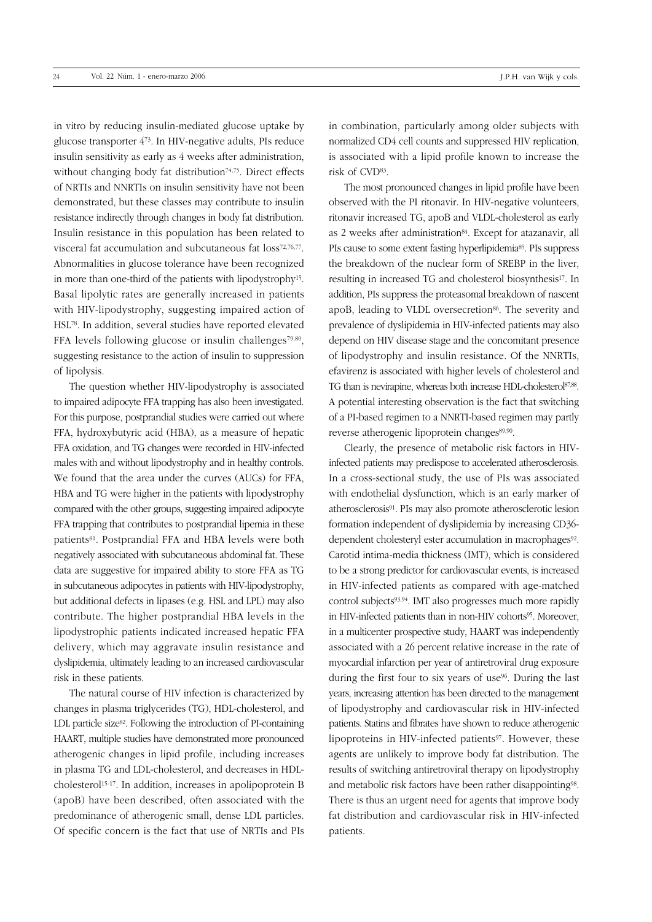of lipolysis.

in vitro by reducing insulin-mediated glucose uptake by glucose transporter 473. In HIV-negative adults, PIs reduce insulin sensitivity as early as 4 weeks after administration, without changing body fat distribution<sup>74,75</sup>. Direct effects of NRTIs and NNRTIs on insulin sensitivity have not been demonstrated, but these classes may contribute to insulin resistance indirectly through changes in body fat distribution. Insulin resistance in this population has been related to visceral fat accumulation and subcutaneous fat loss72,76,77. Abnormalities in glucose tolerance have been recognized in more than one-third of the patients with lipodystrophy15. Basal lipolytic rates are generally increased in patients with HIV-lipodystrophy, suggesting impaired action of HSL78. In addition, several studies have reported elevated FFA levels following glucose or insulin challenges79,80, suggesting resistance to the action of insulin to suppression

The question whether HIV-lipodystrophy is associated to impaired adipocyte FFA trapping has also been investigated. For this purpose, postprandial studies were carried out where FFA, hydroxybutyric acid (HBA), as a measure of hepatic FFA oxidation, and TG changes were recorded in HIV-infected males with and without lipodystrophy and in healthy controls. We found that the area under the curves (AUCs) for FFA, HBA and TG were higher in the patients with lipodystrophy compared with the other groups, suggesting impaired adipocyte FFA trapping that contributes to postprandial lipemia in these patients<sup>81</sup>. Postprandial FFA and HBA levels were both negatively associated with subcutaneous abdominal fat. These data are suggestive for impaired ability to store FFA as TG in subcutaneous adipocytes in patients with HIV-lipodystrophy, but additional defects in lipases (e.g. HSL and LPL) may also contribute. The higher postprandial HBA levels in the lipodystrophic patients indicated increased hepatic FFA delivery, which may aggravate insulin resistance and dyslipidemia, ultimately leading to an increased cardiovascular risk in these patients.

The natural course of HIV infection is characterized by changes in plasma triglycerides (TG), HDL-cholesterol, and LDL particle size<sup>82</sup>. Following the introduction of PI-containing HAART, multiple studies have demonstrated more pronounced atherogenic changes in lipid profile, including increases in plasma TG and LDL-cholesterol, and decreases in HDLcholesterol15-17. In addition, increases in apolipoprotein B (apoB) have been described, often associated with the predominance of atherogenic small, dense LDL particles. Of specific concern is the fact that use of NRTIs and PIs in combination, particularly among older subjects with normalized CD4 cell counts and suppressed HIV replication, is associated with a lipid profile known to increase the risk of CVD83.

The most pronounced changes in lipid profile have been observed with the PI ritonavir. In HIV-negative volunteers, ritonavir increased TG, apoB and VLDL-cholesterol as early as 2 weeks after administration<sup>84</sup>. Except for atazanavir, all PIs cause to some extent fasting hyperlipidemia<sup>85</sup>. PIs suppress the breakdown of the nuclear form of SREBP in the liver, resulting in increased TG and cholesterol biosynthesis<sup>17</sup>. In addition, PIs suppress the proteasomal breakdown of nascent apoB, leading to VLDL oversecretion<sup>86</sup>. The severity and prevalence of dyslipidemia in HIV-infected patients may also depend on HIV disease stage and the concomitant presence of lipodystrophy and insulin resistance. Of the NNRTIs, efavirenz is associated with higher levels of cholesterol and TG than is nevirapine, whereas both increase HDL-cholesterol87,88. A potential interesting observation is the fact that switching of a PI-based regimen to a NNRTI-based regimen may partly reverse atherogenic lipoprotein changes<sup>89,90</sup>.

Clearly, the presence of metabolic risk factors in HIVinfected patients may predispose to accelerated atherosclerosis. In a cross-sectional study, the use of PIs was associated with endothelial dysfunction, which is an early marker of atherosclerosis91. PIs may also promote atherosclerotic lesion formation independent of dyslipidemia by increasing CD36 dependent cholesteryl ester accumulation in macrophages<sup>92</sup>. Carotid intima-media thickness (IMT), which is considered to be a strong predictor for cardiovascular events, is increased in HIV-infected patients as compared with age-matched control subjects93,94. IMT also progresses much more rapidly in HIV-infected patients than in non-HIV cohorts<sup>95</sup>. Moreover, in a multicenter prospective study, HAART was independently associated with a 26 percent relative increase in the rate of myocardial infarction per year of antiretroviral drug exposure during the first four to six years of use<sup>96</sup>. During the last years, increasing attention has been directed to the management of lipodystrophy and cardiovascular risk in HIV-infected patients. Statins and fibrates have shown to reduce atherogenic lipoproteins in HIV-infected patients<sup>97</sup>. However, these agents are unlikely to improve body fat distribution. The results of switching antiretroviral therapy on lipodystrophy and metabolic risk factors have been rather disappointing98. There is thus an urgent need for agents that improve body fat distribution and cardiovascular risk in HIV-infected patients.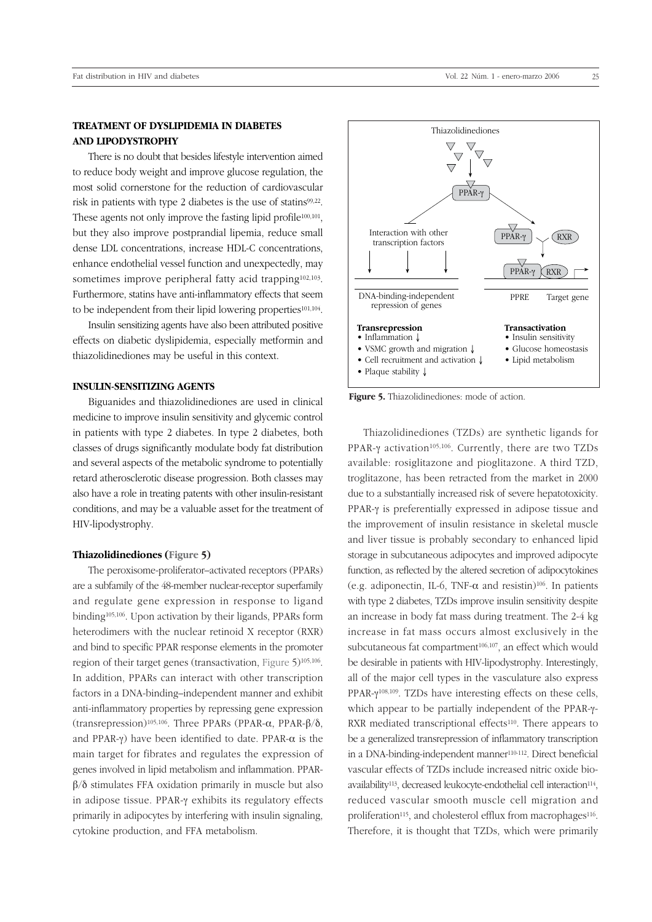# **TREATMENT OF DYSLIPIDEMIA IN DIABETES AND LIPODYSTROPHY**

There is no doubt that besides lifestyle intervention aimed to reduce body weight and improve glucose regulation, the most solid cornerstone for the reduction of cardiovascular risk in patients with type 2 diabetes is the use of statins99,22. These agents not only improve the fasting lipid profile<sup>100,101</sup>, but they also improve postprandial lipemia, reduce small dense LDL concentrations, increase HDL-C concentrations, enhance endothelial vessel function and unexpectedly, may sometimes improve peripheral fatty acid trapping<sup>102,103</sup>. Furthermore, statins have anti-inflammatory effects that seem to be independent from their lipid lowering properties<sup>101,104</sup>.

Insulin sensitizing agents have also been attributed positive effects on diabetic dyslipidemia, especially metformin and thiazolidinediones may be useful in this context.

### **INSULIN-SENSITIZING AGENTS**

Biguanides and thiazolidinediones are used in clinical medicine to improve insulin sensitivity and glycemic control in patients with type 2 diabetes. In type 2 diabetes, both classes of drugs significantly modulate body fat distribution and several aspects of the metabolic syndrome to potentially retard atherosclerotic disease progression. Both classes may also have a role in treating patents with other insulin-resistant conditions, and may be a valuable asset for the treatment of HIV-lipodystrophy.

### **Thiazolidinediones (Figure 5)**

The peroxisome-proliferator–activated receptors (PPARs) are a subfamily of the 48-member nuclear-receptor superfamily and regulate gene expression in response to ligand binding105,106. Upon activation by their ligands, PPARs form heterodimers with the nuclear retinoid X receptor (RXR) and bind to specific PPAR response elements in the promoter region of their target genes (transactivation, Figure 5)105,106. In addition, PPARs can interact with other transcription factors in a DNA-binding–independent manner and exhibit anti-inflammatory properties by repressing gene expression (transrepression)105,106. Three PPARs (PPAR-α, PPAR-β/δ, and PPAR-γ) have been identified to date. PPAR- $\alpha$  is the main target for fibrates and regulates the expression of genes involved in lipid metabolism and inflammation. PPARβ/δ stimulates FFA oxidation primarily in muscle but also in adipose tissue. PPAR-γ exhibits its regulatory effects primarily in adipocytes by interfering with insulin signaling, cytokine production, and FFA metabolism.



**Figure 5.** Thiazolidinediones: mode of action.

Thiazolidinediones (TZDs) are synthetic ligands for PPAR-γ activation<sup>105,106</sup>. Currently, there are two TZDs available: rosiglitazone and pioglitazone. A third TZD, troglitazone, has been retracted from the market in 2000 due to a substantially increased risk of severe hepatotoxicity. PPAR-γ is preferentially expressed in adipose tissue and the improvement of insulin resistance in skeletal muscle and liver tissue is probably secondary to enhanced lipid storage in subcutaneous adipocytes and improved adipocyte function, as reflected by the altered secretion of adipocytokines (e.g. adiponectin, IL-6, TNF- $\alpha$  and resistin)<sup>106</sup>. In patients with type 2 diabetes, TZDs improve insulin sensitivity despite an increase in body fat mass during treatment. The 2-4 kg increase in fat mass occurs almost exclusively in the subcutaneous fat compartment<sup>106,107</sup>, an effect which would be desirable in patients with HIV-lipodystrophy. Interestingly, all of the major cell types in the vasculature also express PPAR-γ108,109. TZDs have interesting effects on these cells, which appear to be partially independent of the PPAR-γ-RXR mediated transcriptional effects<sup>110</sup>. There appears to be a generalized transrepression of inflammatory transcription in a DNA-binding-independent manner<sup>110-112</sup>. Direct beneficial vascular effects of TZDs include increased nitric oxide bioavailability<sup>113</sup>, decreased leukocyte-endothelial cell interaction<sup>114</sup>, reduced vascular smooth muscle cell migration and proliferation<sup>115</sup>, and cholesterol efflux from macrophages<sup>116</sup>. Therefore, it is thought that TZDs, which were primarily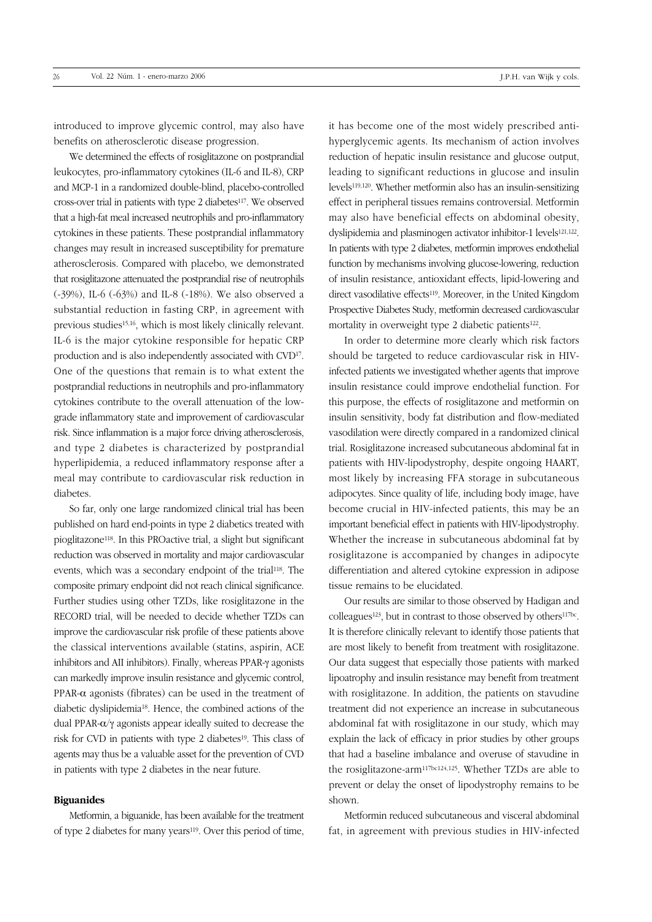introduced to improve glycemic control, may also have benefits on atherosclerotic disease progression.

We determined the effects of rosiglitazone on postprandial leukocytes, pro-inflammatory cytokines (IL-6 and IL-8), CRP and MCP-1 in a randomized double-blind, placebo-controlled cross-over trial in patients with type 2 diabetes117. We observed that a high-fat meal increased neutrophils and pro-inflammatory cytokines in these patients. These postprandial inflammatory changes may result in increased susceptibility for premature atherosclerosis. Compared with placebo, we demonstrated that rosiglitazone attenuated the postprandial rise of neutrophils (-39%), IL-6 (-63%) and IL-8 (-18%). We also observed a substantial reduction in fasting CRP, in agreement with previous studies15,16, which is most likely clinically relevant. IL-6 is the major cytokine responsible for hepatic CRP production and is also independently associated with CVD17. One of the questions that remain is to what extent the postprandial reductions in neutrophils and pro-inflammatory cytokines contribute to the overall attenuation of the lowgrade inflammatory state and improvement of cardiovascular risk. Since inflammation is a major force driving atherosclerosis, and type 2 diabetes is characterized by postprandial hyperlipidemia, a reduced inflammatory response after a meal may contribute to cardiovascular risk reduction in diabetes.

So far, only one large randomized clinical trial has been published on hard end-points in type 2 diabetics treated with pioglitazone118. In this PROactive trial, a slight but significant reduction was observed in mortality and major cardiovascular events, which was a secondary endpoint of the trial118. The composite primary endpoint did not reach clinical significance. Further studies using other TZDs, like rosiglitazone in the RECORD trial, will be needed to decide whether TZDs can improve the cardiovascular risk profile of these patients above the classical interventions available (statins, aspirin, ACE inhibitors and AII inhibitors). Finally, whereas PPAR-γ agonists can markedly improve insulin resistance and glycemic control, PPAR-α agonists (fibrates) can be used in the treatment of diabetic dyslipidemia18. Hence, the combined actions of the dual PPAR-α/γ agonists appear ideally suited to decrease the risk for CVD in patients with type 2 diabetes<sup>19</sup>. This class of agents may thus be a valuable asset for the prevention of CVD in patients with type 2 diabetes in the near future.

### **Biguanides**

Metformin, a biguanide, has been available for the treatment of type 2 diabetes for many years<sup>119</sup>. Over this period of time, it has become one of the most widely prescribed antihyperglycemic agents. Its mechanism of action involves reduction of hepatic insulin resistance and glucose output, leading to significant reductions in glucose and insulin levels119,120. Whether metformin also has an insulin-sensitizing effect in peripheral tissues remains controversial. Metformin may also have beneficial effects on abdominal obesity, dyslipidemia and plasminogen activator inhibitor-1 levels<sup>121,122</sup>. In patients with type 2 diabetes, metformin improves endothelial function by mechanisms involving glucose-lowering, reduction of insulin resistance, antioxidant effects, lipid-lowering and direct vasodilative effects<sup>119</sup>. Moreover, in the United Kingdom Prospective Diabetes Study, metformin decreased cardiovascular mortality in overweight type 2 diabetic patients<sup>122</sup>.

In order to determine more clearly which risk factors should be targeted to reduce cardiovascular risk in HIVinfected patients we investigated whether agents that improve insulin resistance could improve endothelial function. For this purpose, the effects of rosiglitazone and metformin on insulin sensitivity, body fat distribution and flow-mediated vasodilation were directly compared in a randomized clinical trial. Rosiglitazone increased subcutaneous abdominal fat in patients with HIV-lipodystrophy, despite ongoing HAART, most likely by increasing FFA storage in subcutaneous adipocytes. Since quality of life, including body image, have become crucial in HIV-infected patients, this may be an important beneficial effect in patients with HIV-lipodystrophy. Whether the increase in subcutaneous abdominal fat by rosiglitazone is accompanied by changes in adipocyte differentiation and altered cytokine expression in adipose tissue remains to be elucidated.

Our results are similar to those observed by Hadigan and  $\text{colle}$ agues<sup>123</sup>, but in contrast to those observed by others<sup>117bc</sup>. It is therefore clinically relevant to identify those patients that are most likely to benefit from treatment with rosiglitazone. Our data suggest that especially those patients with marked lipoatrophy and insulin resistance may benefit from treatment with rosiglitazone. In addition, the patients on stavudine treatment did not experience an increase in subcutaneous abdominal fat with rosiglitazone in our study, which may explain the lack of efficacy in prior studies by other groups that had a baseline imbalance and overuse of stavudine in the rosiglitazone-arm117bc124,125. Whether TZDs are able to prevent or delay the onset of lipodystrophy remains to be shown.

Metformin reduced subcutaneous and visceral abdominal fat, in agreement with previous studies in HIV-infected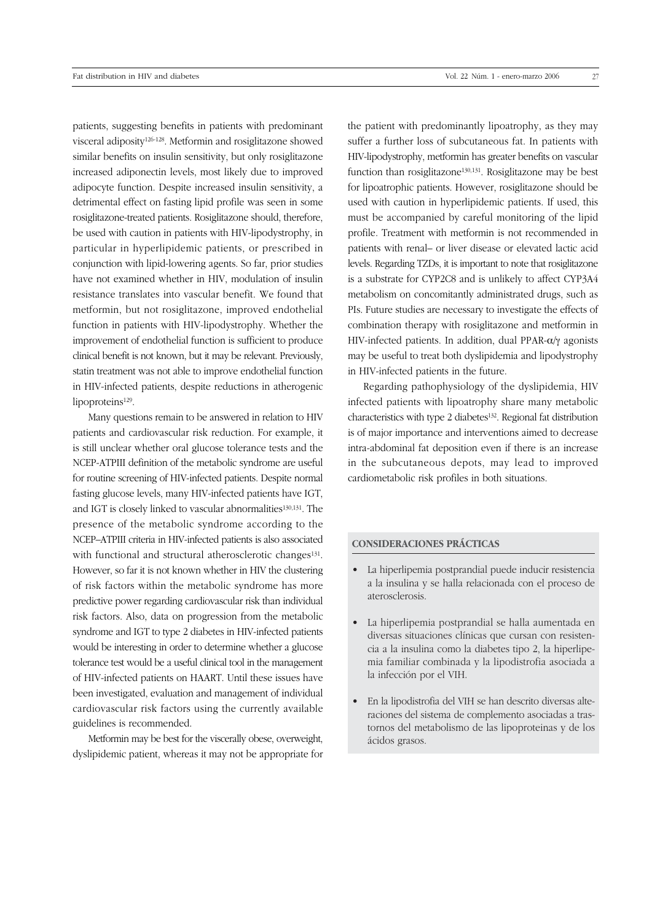patients, suggesting benefits in patients with predominant visceral adiposity126-128. Metformin and rosiglitazone showed similar benefits on insulin sensitivity, but only rosiglitazone increased adiponectin levels, most likely due to improved adipocyte function. Despite increased insulin sensitivity, a detrimental effect on fasting lipid profile was seen in some rosiglitazone-treated patients. Rosiglitazone should, therefore, be used with caution in patients with HIV-lipodystrophy, in particular in hyperlipidemic patients, or prescribed in conjunction with lipid-lowering agents. So far, prior studies have not examined whether in HIV, modulation of insulin resistance translates into vascular benefit. We found that metformin, but not rosiglitazone, improved endothelial function in patients with HIV-lipodystrophy. Whether the improvement of endothelial function is sufficient to produce clinical benefit is not known, but it may be relevant. Previously, statin treatment was not able to improve endothelial function in HIV-infected patients, despite reductions in atherogenic lipoproteins<sup>129</sup>.

Many questions remain to be answered in relation to HIV patients and cardiovascular risk reduction. For example, it is still unclear whether oral glucose tolerance tests and the NCEP-ATPIII definition of the metabolic syndrome are useful for routine screening of HIV-infected patients. Despite normal fasting glucose levels, many HIV-infected patients have IGT, and IGT is closely linked to vascular abnormalities<sup>130,131</sup>. The presence of the metabolic syndrome according to the NCEP–ATPIII criteria in HIV-infected patients is also associated with functional and structural atherosclerotic changes<sup>131</sup>. However, so far it is not known whether in HIV the clustering of risk factors within the metabolic syndrome has more predictive power regarding cardiovascular risk than individual risk factors. Also, data on progression from the metabolic syndrome and IGT to type 2 diabetes in HIV-infected patients would be interesting in order to determine whether a glucose tolerance test would be a useful clinical tool in the management of HIV-infected patients on HAART. Until these issues have been investigated, evaluation and management of individual cardiovascular risk factors using the currently available guidelines is recommended.

Metformin may be best for the viscerally obese, overweight, dyslipidemic patient, whereas it may not be appropriate for the patient with predominantly lipoatrophy, as they may suffer a further loss of subcutaneous fat. In patients with HIV-lipodystrophy, metformin has greater benefits on vascular function than rosiglitazone130,131. Rosiglitazone may be best for lipoatrophic patients. However, rosiglitazone should be used with caution in hyperlipidemic patients. If used, this must be accompanied by careful monitoring of the lipid profile. Treatment with metformin is not recommended in patients with renal– or liver disease or elevated lactic acid levels. Regarding TZDs, it is important to note that rosiglitazone is a substrate for CYP2C8 and is unlikely to affect CYP3A4 metabolism on concomitantly administrated drugs, such as PIs. Future studies are necessary to investigate the effects of combination therapy with rosiglitazone and metformin in HIV-infected patients. In addition, dual PPAR-α/γ agonists may be useful to treat both dyslipidemia and lipodystrophy in HIV-infected patients in the future.

Regarding pathophysiology of the dyslipidemia, HIV infected patients with lipoatrophy share many metabolic characteristics with type 2 diabetes<sup>132</sup>. Regional fat distribution is of major importance and interventions aimed to decrease intra-abdominal fat deposition even if there is an increase in the subcutaneous depots, may lead to improved cardiometabolic risk profiles in both situations.

### **CONSIDERACIONES PRÁCTICAS**

- La hiperlipemia postprandial puede inducir resistencia a la insulina y se halla relacionada con el proceso de aterosclerosis.
- La hiperlipemia postprandial se halla aumentada en diversas situaciones clínicas que cursan con resistencia a la insulina como la diabetes tipo 2, la hiperlipemia familiar combinada y la lipodistrofia asociada a la infección por el VIH.
- En la lipodistrofia del VIH se han descrito diversas alteraciones del sistema de complemento asociadas a trastornos del metabolismo de las lipoproteinas y de los ácidos grasos.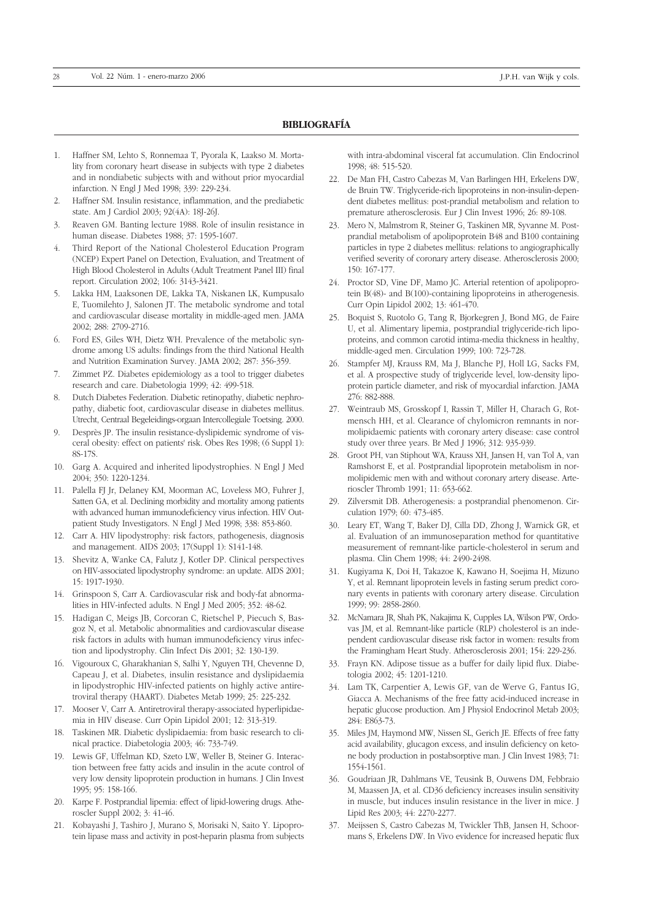### **BIBLIOGRAFÍA**

- 1. Haffner SM, Lehto S, Ronnemaa T, Pyorala K, Laakso M. Mortality from coronary heart disease in subjects with type 2 diabetes and in nondiabetic subjects with and without prior myocardial infarction. N Engl J Med 1998; 339: 229-234.
- 2. Haffner SM. Insulin resistance, inflammation, and the prediabetic state. Am J Cardiol 2003; 92(4A): 18J-26J.
- 3. Reaven GM. Banting lecture 1988. Role of insulin resistance in human disease. Diabetes 1988; 37: 1595-1607.
- 4. Third Report of the National Cholesterol Education Program (NCEP) Expert Panel on Detection, Evaluation, and Treatment of High Blood Cholesterol in Adults (Adult Treatment Panel III) final report. Circulation 2002; 106: 3143-3421.
- 5. Lakka HM, Laaksonen DE, Lakka TA, Niskanen LK, Kumpusalo E, Tuomilehto J, Salonen JT. The metabolic syndrome and total and cardiovascular disease mortality in middle-aged men. JAMA 2002; 288: 2709-2716.
- 6. Ford ES, Giles WH, Dietz WH. Prevalence of the metabolic syndrome among US adults: findings from the third National Health and Nutrition Examination Survey. JAMA 2002; 287: 356-359.
- 7. Zimmet PZ. Diabetes epidemiology as a tool to trigger diabetes research and care. Diabetologia 1999; 42: 499-518.
- 8. Dutch Diabetes Federation. Diabetic retinopathy, diabetic nephropathy, diabetic foot, cardiovascular disease in diabetes mellitus. Utrecht, Centraal Begeleidings-orgaan Intercollegiale Toetsing. 2000.
- Desprès JP. The insulin resistance-dyslipidemic syndrome of visceral obesity: effect on patients' risk. Obes Res 1998; (6 Suppl 1): 8S-17S.
- 10. Garg A. Acquired and inherited lipodystrophies. N Engl J Med 2004; 350: 1220-1234.
- 11. Palella FJ Jr, Delaney KM, Moorman AC, Loveless MO, Fuhrer J, Satten GA, et al. Declining morbidity and mortality among patients with advanced human immunodeficiency virus infection. HIV Outpatient Study Investigators. N Engl J Med 1998; 338: 853-860.
- 12. Carr A. HIV lipodystrophy: risk factors, pathogenesis, diagnosis and management. AIDS 2003; 17(Suppl 1): S141-148.
- 13. Shevitz A, Wanke CA, Falutz J, Kotler DP. Clinical perspectives on HIV-associated lipodystrophy syndrome: an update. AIDS 2001; 15: 1917-1930.
- 14. Grinspoon S, Carr A. Cardiovascular risk and body-fat abnormalities in HIV-infected adults. N Engl J Med 2005; 352: 48-62.
- 15. Hadigan C, Meigs JB, Corcoran C, Rietschel P, Piecuch S, Basgoz N, et al. Metabolic abnormalities and cardiovascular disease risk factors in adults with human immunodeficiency virus infection and lipodystrophy. Clin Infect Dis 2001; 32: 130-139.
- 16. Vigouroux C, Gharakhanian S, Salhi Y, Nguyen TH, Chevenne D, Capeau J, et al. Diabetes, insulin resistance and dyslipidaemia in lipodystrophic HIV-infected patients on highly active antiretroviral therapy (HAART). Diabetes Metab 1999; 25: 225-232.
- 17. Mooser V, Carr A. Antiretroviral therapy-associated hyperlipidaemia in HIV disease. Curr Opin Lipidol 2001; 12: 313-319.
- 18. Taskinen MR. Diabetic dyslipidaemia: from basic research to clinical practice. Diabetologia 2003; 46: 733-749.
- 19. Lewis GF, Uffelman KD, Szeto LW, Weller B, Steiner G. Interaction between free fatty acids and insulin in the acute control of very low density lipoprotein production in humans. J Clin Invest 1995; 95: 158-166.
- 20. Karpe F. Postprandial lipemia: effect of lipid-lowering drugs. Atheroscler Suppl 2002; 3: 41-46.
- 21. Kobayashi J, Tashiro J, Murano S, Morisaki N, Saito Y. Lipoprotein lipase mass and activity in post-heparin plasma from subjects

with intra-abdominal visceral fat accumulation. Clin Endocrinol 1998; 48: 515-520.

- 22. De Man FH, Castro Cabezas M, Van Barlingen HH, Erkelens DW, de Bruin TW. Triglyceride-rich lipoproteins in non-insulin-dependent diabetes mellitus: post-prandial metabolism and relation to premature atherosclerosis. Eur J Clin Invest 1996; 26: 89-108.
- 23. Mero N, Malmstrom R, Steiner G, Taskinen MR, Syvanne M. Postprandial metabolism of apolipoprotein B48 and B100 containing particles in type 2 diabetes mellitus: relations to angiographically verified severity of coronary artery disease. Atherosclerosis 2000; 150: 167-177.
- 24. Proctor SD, Vine DF, Mamo JC. Arterial retention of apolipoprotein B(48)- and B(100)-containing lipoproteins in atherogenesis. Curr Opin Lipidol 2002; 13: 461-470.
- 25. Boquist S, Ruotolo G, Tang R, Bjorkegren J, Bond MG, de Faire U, et al. Alimentary lipemia, postprandial triglyceride-rich lipoproteins, and common carotid intima-media thickness in healthy, middle-aged men. Circulation 1999; 100: 723-728.
- 26. Stampfer MJ, Krauss RM, Ma J, Blanche PJ, Holl LG, Sacks FM, et al. A prospective study of triglyceride level, low-density lipoprotein particle diameter, and risk of myocardial infarction. JAMA 276: 882-888.
- 27. Weintraub MS, Grosskopf I, Rassin T, Miller H, Charach G, Rotmensch HH, et al. Clearance of chylomicron remnants in normolipidaemic patients with coronary artery disease: case control study over three years. Br Med J 1996; 312: 935-939.
- 28. Groot PH, van Stiphout WA, Krauss XH, Jansen H, van Tol A, van Ramshorst E, et al. Postprandial lipoprotein metabolism in normolipidemic men with and without coronary artery disease. Arterioscler Thromb 1991; 11: 653-662.
- 29. Zilversmit DB. Atherogenesis: a postprandial phenomenon. Circulation 1979; 60: 473-485.
- 30. Leary ET, Wang T, Baker DJ, Cilla DD, Zhong J, Warnick GR, et al. Evaluation of an immunoseparation method for quantitative measurement of remnant-like particle-cholesterol in serum and plasma. Clin Chem 1998; 44: 2490-2498.
- 31. Kugiyama K, Doi H, Takazoe K, Kawano H, Soejima H, Mizuno Y, et al. Remnant lipoprotein levels in fasting serum predict coronary events in patients with coronary artery disease. Circulation 1999; 99: 2858-2860.
- 32. McNamara JR, Shah PK, Nakajima K, Cupples LA, Wilson PW, Ordovas JM, et al. Remnant-like particle (RLP) cholesterol is an independent cardiovascular disease risk factor in women: results from the Framingham Heart Study. Atherosclerosis 2001; 154: 229-236.
- 33. Frayn KN. Adipose tissue as a buffer for daily lipid flux. Diabetologia 2002; 45: 1201-1210.
- 34. Lam TK, Carpentier A, Lewis GF, van de Werve G, Fantus IG, Giacca A. Mechanisms of the free fatty acid-induced increase in hepatic glucose production. Am J Physiol Endocrinol Metab 2003; 284: E863-73.
- 35. Miles JM, Haymond MW, Nissen SL, Gerich JE. Effects of free fatty acid availability, glucagon excess, and insulin deficiency on ketone body production in postabsorptive man. J Clin Invest 1983; 71: 1554-1561.
- 36. Goudriaan JR, Dahlmans VE, Teusink B, Ouwens DM, Febbraio M, Maassen JA, et al. CD36 deficiency increases insulin sensitivity in muscle, but induces insulin resistance in the liver in mice. J Lipid Res 2003; 44: 2270-2277.
- 37. Meijssen S, Castro Cabezas M, Twickler ThB, Jansen H, Schoormans S, Erkelens DW. In Vivo evidence for increased hepatic flux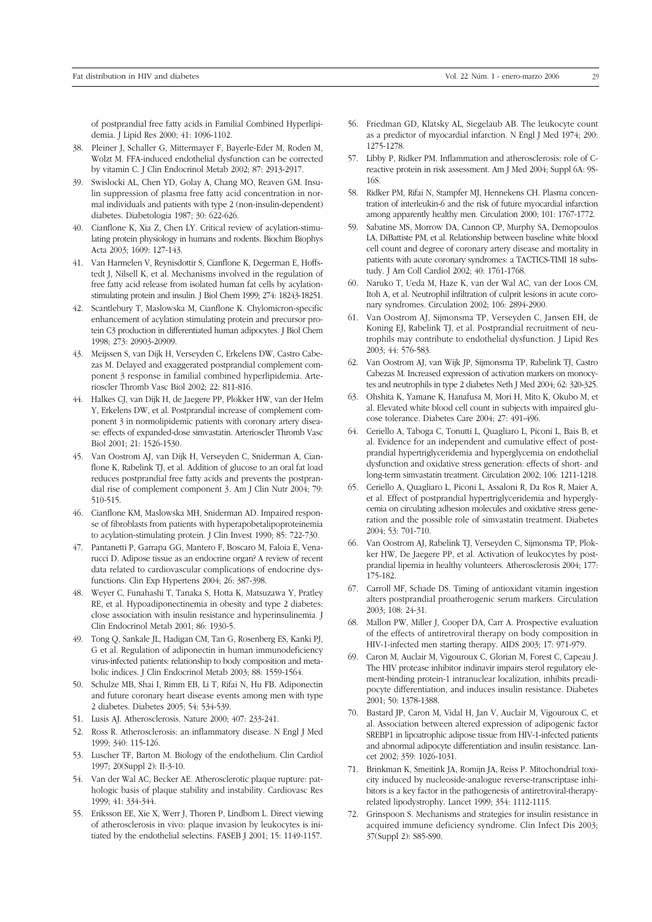of postprandial free fatty acids in Familial Combined Hyperlipidemia. J Lipid Res 2000; 41: 1096-1102.

- 38. Pleiner J, Schaller G, Mittermayer F, Bayerle-Eder M, Roden M, Wolzt M. FFA-induced endothelial dysfunction can be corrected by vitamin C. J Clin Endocrinol Metab 2002; 87: 2913-2917.
- 39. Swislocki AL, Chen YD, Golay A, Chang MO, Reaven GM. Insulin suppression of plasma free fatty acid concentration in normal individuals and patients with type 2 (non-insulin-dependent) diabetes. Diabetologia 1987; 30: 622-626.
- 40. Cianflone K, Xia Z, Chen LY. Critical review of acylation-stimulating protein physiology in humans and rodents. Biochim Biophys Acta 2003; 1609: 127-143.
- 41. Van Harmelen V, Reynisdottir S, Cianflone K, Degerman E, Hoffstedt J, Nilsell K, et al. Mechanisms involved in the regulation of free fatty acid release from isolated human fat cells by acylationstimulating protein and insulin. J Biol Chem 1999; 274: 18243-18251.
- 42. Scantlebury T, Maslowska M, Cianflone K. Chylomicron-specific enhancement of acylation stimulating protein and precursor protein C3 production in differentiated human adipocytes. J Biol Chem 1998; 273: 20903-20909.
- 43. Meijssen S, van Dijk H, Verseyden C, Erkelens DW, Castro Cabezas M. Delayed and exaggerated postprandial complement component 3 response in familial combined hyperlipidemia. Arterioscler Thromb Vasc Biol 2002; 22: 811-816.
- 44. Halkes CJ, van Dijk H, de Jaegere PP, Plokker HW, van der Helm Y, Erkelens DW, et al. Postprandial increase of complement component 3 in normolipidemic patients with coronary artery disease: effects of expanded-dose simvastatin. Arterioscler Thromb Vasc Biol 2001; 21: 1526-1530.
- 45. Van Oostrom AJ, van Dijk H, Verseyden C, Sniderman A, Cianflone K, Rabelink TJ, et al. Addition of glucose to an oral fat load reduces postprandial free fatty acids and prevents the postprandial rise of complement component 3. Am J Clin Nutr 2004; 79: 510-515.
- 46. Cianflone KM, Maslowska MH, Sniderman AD. Impaired response of fibroblasts from patients with hyperapobetalipoproteinemia to acylation-stimulating protein. J Clin Invest 1990; 85: 722-730.
- 47. Pantanetti P, Garrapa GG, Mantero F, Boscaro M, Faloia E, Venarucci D. Adipose tissue as an endocrine organ? A review of recent data related to cardiovascular complications of endocrine dysfunctions. Clin Exp Hypertens 2004; 26: 387-398.
- 48. Weyer C, Funahashi T, Tanaka S, Hotta K, Matsuzawa Y, Pratley RE, et al. Hypoadiponectinemia in obesity and type 2 diabetes: close association with insulin resistance and hyperinsulinemia. J Clin Endocrinol Metab 2001; 86: 1930-5.
- 49. Tong Q, Sankale JL, Hadigan CM, Tan G, Rosenberg ES, Kanki PJ, G et al. Regulation of adiponectin in human immunodeficiency virus-infected patients: relationship to body composition and metabolic indices. J Clin Endocrinol Metab 2003; 88: 1559-1564.
- 50. Schulze MB, Shai I, Rimm EB, Li T, Rifai N, Hu FB. Adiponectin and future coronary heart disease events among men with type 2 diabetes. Diabetes 2005; 54: 534-539.
- 51. Lusis AJ. Atherosclerosis. Nature 2000; 407: 233-241.
- 52. Ross R. Atherosclerosis: an inflammatory disease. N Engl J Med 1999; 340: 115-126.
- 53. Luscher TF, Barton M. Biology of the endothelium. Clin Cardiol 1997; 20(Suppl 2): II-3-10.
- 54. Van der Wal AC, Becker AE. Atherosclerotic plaque rupture: pathologic basis of plaque stability and instability. Cardiovasc Res 1999; 41: 334-344.
- 55. Eriksson EE, Xie X, Werr J, Thoren P, Lindbom L. Direct viewing of atherosclerosis in vivo: plaque invasion by leukocytes is initiated by the endothelial selectins. FASEB J 2001; 15: 1149-1157.
- 56. Friedman GD, Klatsky AL, Siegelaub AB. The leukocyte count as a predictor of myocardial infarction. N Engl J Med 1974; 290: 1275-1278.
- 57. Libby P, Ridker PM. Inflammation and atherosclerosis: role of Creactive protein in risk assessment. Am J Med 2004; Suppl 6A: 9S-16S.
- 58. Ridker PM, Rifai N, Stampfer MJ, Hennekens CH. Plasma concentration of interleukin-6 and the risk of future myocardial infarction among apparently healthy men. Circulation 2000; 101: 1767-1772.
- 59. Sabatine MS, Morrow DA, Cannon CP, Murphy SA, Demopoulos LA, DiBattiste PM, et al. Relationship between baseline white blood cell count and degree of coronary artery disease and mortality in patients with acute coronary syndromes: a TACTICS-TIMI 18 substudy. J Am Coll Cardiol 2002; 40: 1761-1768.
- 60. Naruko T, Ueda M, Haze K, van der Wal AC, van der Loos CM, Itoh A, et al. Neutrophil infiltration of culprit lesions in acute coronary syndromes. Circulation 2002; 106: 2894-2900.
- 61. Van Oostrom AJ, Sijmonsma TP, Verseyden C, Jansen EH, de Koning EJ, Rabelink TJ, et al. Postprandial recruitment of neutrophils may contribute to endothelial dysfunction. J Lipid Res 2003; 44: 576-583.
- 62. Van Oostrom AJ, van Wijk JP, Sijmonsma TP, Rabelink TJ, Castro Cabezas M. Increased expression of activation markers on monocytes and neutrophils in type 2 diabetes Neth J Med 2004; 62: 320-325.
- 63. Ohshita K, Yamane K, Hanafusa M, Mori H, Mito K, Okubo M, et al. Elevated white blood cell count in subjects with impaired glucose tolerance. Diabetes Care 2004; 27: 491-496.
- 64. Ceriello A, Taboga C, Tonutti L, Quagliaro L, Piconi L, Bais B, et al. Evidence for an independent and cumulative effect of postprandial hypertriglyceridemia and hyperglycemia on endothelial dysfunction and oxidative stress generation: effects of short- and long-term simvastatin treatment. Circulation 2002; 106: 1211-1218.
- 65. Ceriello A, Quagliaro L, Piconi L, Assaloni R, Da Ros R, Maier A, et al. Effect of postprandial hypertriglyceridemia and hyperglycemia on circulating adhesion molecules and oxidative stress generation and the possible role of simvastatin treatment. Diabetes 2004; 53: 701-710.
- 66. Van Oostrom AJ, Rabelink TJ, Verseyden C, Sijmonsma TP, Plokker HW, De Jaegere PP, et al. Activation of leukocytes by postprandial lipemia in healthy volunteers. Atherosclerosis 2004; 177: 175-182.
- 67. Carroll MF, Schade DS. Timing of antioxidant vitamin ingestion alters postprandial proatherogenic serum markers. Circulation 2003; 108: 24-31.
- 68. Mallon PW, Miller J, Cooper DA, Carr A. Prospective evaluation of the effects of antiretroviral therapy on body composition in HIV-1-infected men starting therapy. AIDS 2003; 17: 971-979.
- 69. Caron M, Auclair M, Vigouroux C, Glorian M, Forest C, Capeau J. The HIV protease inhibitor indinavir impairs sterol regulatory element-binding protein-1 intranuclear localization, inhibits preadipocyte differentiation, and induces insulin resistance. Diabetes 2001; 50: 1378-1388.
- 70. Bastard JP, Caron M, Vidal H, Jan V, Auclair M, Vigouroux C, et al. Association between altered expression of adipogenic factor SREBP1 in lipoatrophic adipose tissue from HIV-1-infected patients and abnormal adipocyte differentiation and insulin resistance. Lancet 2002; 359: 1026-1031.
- 71. Brinkman K, Smeitink JA, Romijn JA, Reiss P. Mitochondrial toxicity induced by nucleoside-analogue reverse-transcriptase inhibitors is a key factor in the pathogenesis of antiretroviral-therapyrelated lipodystrophy. Lancet 1999; 354: 1112-1115.
- 72. Grinspoon S. Mechanisms and strategies for insulin resistance in acquired immune deficiency syndrome. Clin Infect Dis 2003; 37(Suppl 2): S85-S90.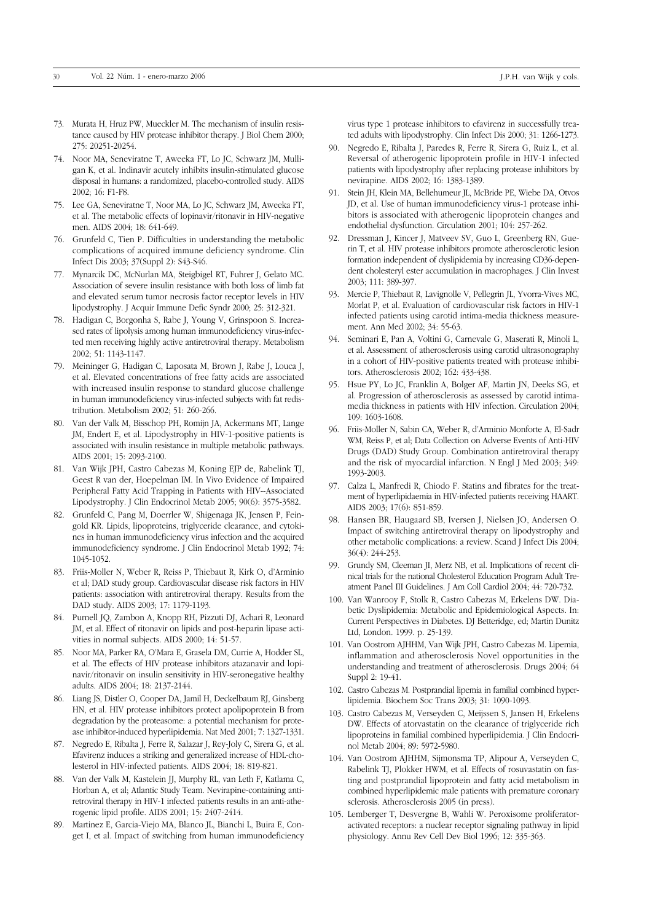- 73. Murata H, Hruz PW, Mueckler M. The mechanism of insulin resistance caused by HIV protease inhibitor therapy. I Biol Chem 2000: 275: 20251-20254.
- 74. Noor MA, Seneviratne T, Aweeka FT, Lo JC, Schwarz JM, Mulligan K, et al. Indinavir acutely inhibits insulin-stimulated glucose disposal in humans: a randomized, placebo-controlled study. AIDS 2002; 16: F1-F8.
- 75. Lee GA, Seneviratne T, Noor MA, Lo JC, Schwarz JM, Aweeka FT, et al. The metabolic effects of lopinavir/ritonavir in HIV-negative men. AIDS 2004; 18: 641-649.
- 76. Grunfeld C, Tien P. Difficulties in understanding the metabolic complications of acquired immune deficiency syndrome. Clin Infect Dis 2003; 37(Suppl 2): S43-S46.
- 77. Mynarcik DC, McNurlan MA, Steigbigel RT, Fuhrer J, Gelato MC. Association of severe insulin resistance with both loss of limb fat and elevated serum tumor necrosis factor receptor levels in HIV lipodystrophy. J Acquir Immune Defic Syndr 2000; 25: 312-321.
- 78. Hadigan C, Borgonha S, Rabe J, Young V, Grinspoon S. Increased rates of lipolysis among human immunodeficiency virus-infected men receiving highly active antiretroviral therapy. Metabolism 2002; 51: 1143-1147.
- 79. Meininger G, Hadigan C, Laposata M, Brown J, Rabe J, Louca J, et al. Elevated concentrations of free fatty acids are associated with increased insulin response to standard glucose challenge in human immunodeficiency virus-infected subjects with fat redistribution. Metabolism 2002; 51: 260-266.
- 80. Van der Valk M, Bisschop PH, Romijn JA, Ackermans MT, Lange JM, Endert E, et al. Lipodystrophy in HIV-1-positive patients is associated with insulin resistance in multiple metabolic pathways. AIDS 2001; 15: 2093-2100.
- 81. Van Wijk JPH, Castro Cabezas M, Koning EJP de, Rabelink TJ, Geest R van der, Hoepelman IM. In Vivo Evidence of Impaired Peripheral Fatty Acid Trapping in Patients with HIV--Associated Lipodystrophy. J Clin Endocrinol Metab 2005; 90(6): 3575-3582.
- 82. Grunfeld C, Pang M, Doerrler W, Shigenaga JK, Jensen P, Feingold KR. Lipids, lipoproteins, triglyceride clearance, and cytokines in human immunodeficiency virus infection and the acquired immunodeficiency syndrome. J Clin Endocrinol Metab 1992; 74: 1045-1052.
- 83. Friis-Moller N, Weber R, Reiss P, Thiebaut R, Kirk O, d'Arminio et al; DAD study group. Cardiovascular disease risk factors in HIV patients: association with antiretroviral therapy. Results from the DAD study. AIDS 2003; 17: 1179-1193.
- 84. Purnell JQ, Zambon A, Knopp RH, Pizzuti DJ, Achari R, Leonard JM, et al. Effect of ritonavir on lipids and post-heparin lipase activities in normal subjects. AIDS 2000; 14: 51-57.
- 85. Noor MA, Parker RA, O'Mara E, Grasela DM, Currie A, Hodder SL, et al. The effects of HIV protease inhibitors atazanavir and lopinavir/ritonavir on insulin sensitivity in HIV-seronegative healthy adults. AIDS 2004; 18: 2137-2144.
- 86. Liang JS, Distler O, Cooper DA, Jamil H, Deckelbaum RJ, Ginsberg HN, et al. HIV protease inhibitors protect apolipoprotein B from degradation by the proteasome: a potential mechanism for protease inhibitor-induced hyperlipidemia. Nat Med 2001; 7: 1327-1331.
- 87. Negredo E, Ribalta J, Ferre R, Salazar J, Rey-Joly C, Sirera G, et al. Efavirenz induces a striking and generalized increase of HDL-cholesterol in HIV-infected patients. AIDS 2004; 18: 819-821.
- 88. Van der Valk M, Kastelein JJ, Murphy RL, van Leth F, Katlama C, Horban A, et al; Atlantic Study Team. Nevirapine-containing antiretroviral therapy in HIV-1 infected patients results in an anti-atherogenic lipid profile. AIDS 2001; 15: 2407-2414.
- 89. Martinez E, Garcia-Viejo MA, Blanco JL, Bianchi L, Buira E, Conget I, et al. Impact of switching from human immunodeficiency

virus type 1 protease inhibitors to efavirenz in successfully treated adults with lipodystrophy. Clin Infect Dis 2000; 31: 1266-1273.

- 90. Negredo E, Ribalta J, Paredes R, Ferre R, Sirera G, Ruiz L, et al. Reversal of atherogenic lipoprotein profile in HIV-1 infected patients with lipodystrophy after replacing protease inhibitors by nevirapine. AIDS 2002; 16: 1383-1389.
- 91. Stein JH, Klein MA, Bellehumeur JL, McBride PE, Wiebe DA, Otvos JD, et al. Use of human immunodeficiency virus-1 protease inhibitors is associated with atherogenic lipoprotein changes and endothelial dysfunction. Circulation 2001; 104: 257-262.
- 92. Dressman J, Kincer J, Matveev SV, Guo L, Greenberg RN, Guerin T, et al. HIV protease inhibitors promote atherosclerotic lesion formation independent of dyslipidemia by increasing CD36-dependent cholesteryl ester accumulation in macrophages. J Clin Invest 2003; 111: 389-397.
- 93. Mercie P, Thiebaut R, Lavignolle V, Pellegrin JL, Yvorra-Vives MC, Morlat P, et al. Evaluation of cardiovascular risk factors in HIV-1 infected patients using carotid intima-media thickness measurement. Ann Med 2002; 34: 55-63.
- 94. Seminari E, Pan A, Voltini G, Carnevale G, Maserati R, Minoli L, et al. Assessment of atherosclerosis using carotid ultrasonography in a cohort of HIV-positive patients treated with protease inhibitors. Atherosclerosis 2002; 162: 433-438.
- 95. Hsue PY, Lo JC, Franklin A, Bolger AF, Martin JN, Deeks SG, et al. Progression of atherosclerosis as assessed by carotid intimamedia thickness in patients with HIV infection. Circulation 2004; 109: 1603-1608.
- 96. Friis-Moller N, Sabin CA, Weber R, d'Arminio Monforte A, El-Sadr WM, Reiss P, et al; Data Collection on Adverse Events of Anti-HIV Drugs (DAD) Study Group. Combination antiretroviral therapy and the risk of myocardial infarction. N Engl J Med 2003; 349: 1993-2003.
- 97. Calza L, Manfredi R, Chiodo F. Statins and fibrates for the treatment of hyperlipidaemia in HIV-infected patients receiving HAART. AIDS 2003; 17(6): 851-859.
- 98. Hansen BR, Haugaard SB, Iversen J, Nielsen JO, Andersen O. Impact of switching antiretroviral therapy on lipodystrophy and other metabolic complications: a review. Scand J Infect Dis 2004; 36(4): 244-253.
- 99. Grundy SM, Cleeman JI, Merz NB, et al. Implications of recent clinical trials for the national Cholesterol Education Program Adult Treatment Panel III Guidelines. J Am Coll Cardiol 2004; 44: 720-732.
- 100. Van Wanrooy F, Stolk R, Castro Cabezas M, Erkelens DW. Diabetic Dyslipidemia: Metabolic and Epidemiological Aspects. In: Current Perspectives in Diabetes. DJ Betteridge, ed; Martin Dunitz Ltd, London. 1999. p. 25-139.
- 101. Van Oostrom AJHHM, Van Wijk JPH, Castro Cabezas M. Lipemia, inflammation and atherosclerosis Novel opportunities in the understanding and treatment of atherosclerosis. Drugs 2004; 64 Suppl 2: 19-41.
- 102. Castro Cabezas M. Postprandial lipemia in familial combined hyperlipidemia. Biochem Soc Trans 2003; 31: 1090-1093.
- 103. Castro Cabezas M, Verseyden C, Meijssen S, Jansen H, Erkelens DW. Effects of atorvastatin on the clearance of triglyceride rich lipoproteins in familial combined hyperlipidemia. J Clin Endocrinol Metab 2004; 89: 5972-5980.
- 104. Van Oostrom AJHHM, Sijmonsma TP, Alipour A, Verseyden C, Rabelink TJ, Plokker HWM, et al. Effects of rosuvastatin on fasting and postprandial lipoprotein and fatty acid metabolism in combined hyperlipidemic male patients with premature coronary sclerosis. Atherosclerosis 2005 (in press).
- 105. Lemberger T, Desvergne B, Wahli W. Peroxisome proliferatoractivated receptors: a nuclear receptor signaling pathway in lipid physiology. Annu Rev Cell Dev Biol 1996; 12: 335-363.